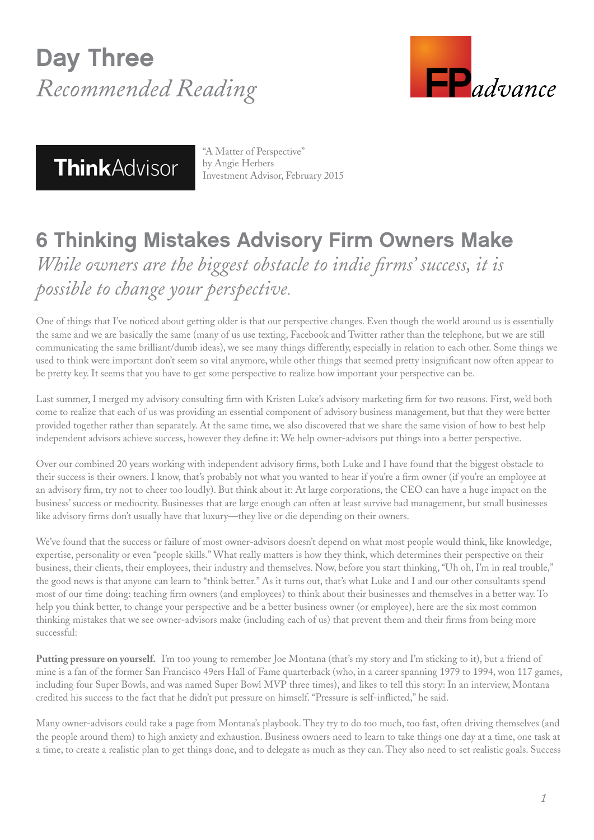## Day Three *Recommended Reading*





"A Matter of Perspective" by Angie Herbers Investment Advisor, February 2015

## 6 Thinking Mistakes Advisory Firm Owners Make *While owners are the biggest obstacle to indie firms' success, it is possible to change your perspective*.

One of things that I've noticed about getting older is that our perspective changes. Even though the world around us is essentially the same and we are basically the same (many of us use texting, Facebook and Twitter rather than the telephone, but we are still communicating the same brilliant/dumb ideas), we see many things differently, especially in relation to each other. Some things we used to think were important don't seem so vital anymore, while other things that seemed pretty insignificant now often appear to be pretty key. It seems that you have to get some perspective to realize how important your perspective can be.

Last summer, I merged my advisory consulting firm with Kristen Luke's advisory marketing firm for two reasons. First, we'd both come to realize that each of us was providing an essential component of advisory business management, but that they were better provided together rather than separately. At the same time, we also discovered that we share the same vision of how to best help independent advisors achieve success, however they define it: We help owner-advisors put things into a better perspective.

Over our combined 20 years working with independent advisory firms, both Luke and I have found that the biggest obstacle to their success is their owners. I know, that's probably not what you wanted to hear if you're a firm owner (if you're an employee at an advisory firm, try not to cheer too loudly). But think about it: At large corporations, the CEO can have a huge impact on the business' success or mediocrity. Businesses that are large enough can often at least survive bad management, but small businesses like advisory firms don't usually have that luxury—they live or die depending on their owners.

We've found that the success or failure of most owner-advisors doesn't depend on what most people would think, like knowledge, expertise, personality or even "people skills." What really matters is how they think, which determines their perspective on their business, their clients, their employees, their industry and themselves. Now, before you start thinking, "Uh oh, I'm in real trouble," the good news is that anyone can learn to "think better." As it turns out, that's what Luke and I and our other consultants spend most of our time doing: teaching firm owners (and employees) to think about their businesses and themselves in a better way. To help you think better, to change your perspective and be a better business owner (or employee), here are the six most common thinking mistakes that we see owner-advisors make (including each of us) that prevent them and their firms from being more successful:

**Putting pressure on yourself.** I'm too young to remember Joe Montana (that's my story and I'm sticking to it), but a friend of mine is a fan of the former San Francisco 49ers Hall of Fame quarterback (who, in a career spanning 1979 to 1994, won 117 games, including four Super Bowls, and was named Super Bowl MVP three times), and likes to tell this story: In an interview, Montana credited his success to the fact that he didn't put pressure on himself. "Pressure is self-inflicted," he said.

Many owner-advisors could take a page from Montana's playbook. They try to do too much, too fast, often driving themselves (and the people around them) to high anxiety and exhaustion. Business owners need to learn to take things one day at a time, one task at a time, to create a realistic plan to get things done, and to delegate as much as they can. They also need to set realistic goals. Success